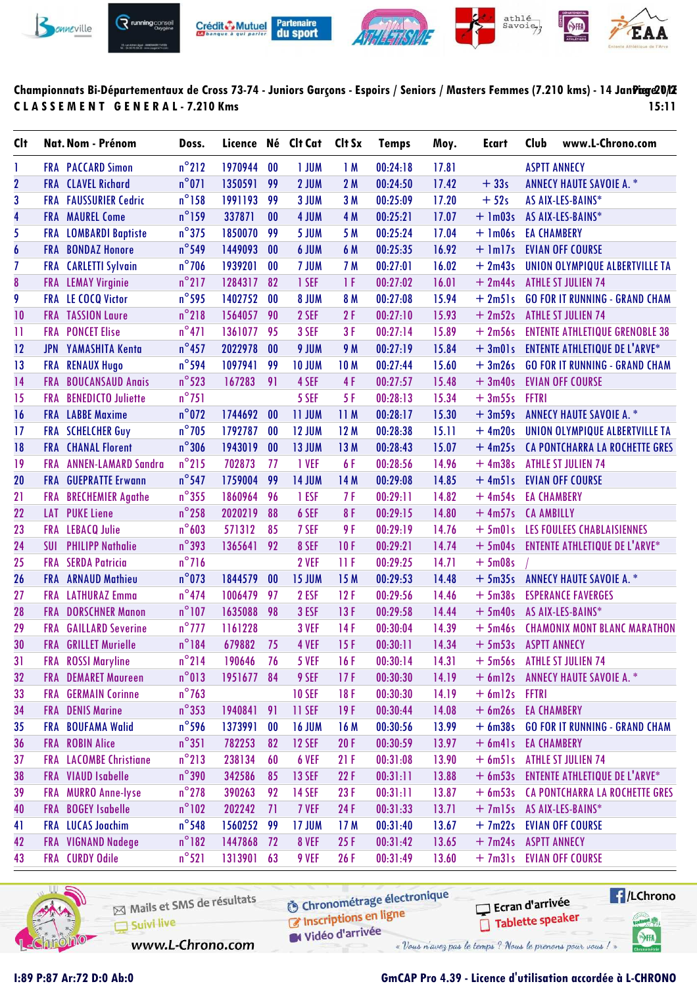

Championnats Bi-Départementaux de Cross 73-74 - Juniors Garçons - Espoirs / Seniors / Masters Femmes (7.210 kms) - 14 Jan**Piege20/2 C L A S S E M E N T G E N E R A L - 7.210 Kms 15:11**

| Clt                     |            | Nat. Nom - Prénom             | Doss.           | Licence |           | Né Clt Cat    | Clt Sx          | <b>Temps</b> | Moy.  | <b>Ecart</b>         | Club                | www.L-Chrono.com                       |
|-------------------------|------------|-------------------------------|-----------------|---------|-----------|---------------|-----------------|--------------|-------|----------------------|---------------------|----------------------------------------|
| 1                       |            | <b>FRA PACCARD Simon</b>      | $n^{\circ}$ 212 | 1970944 | 00        | 1 JUM         | 1M              | 00:24:18     | 17.81 |                      |                     | <b>ASPTT ANNECY</b>                    |
| $\overline{\mathbf{2}}$ |            | <b>FRA</b> CLAVEL Richard     | $n^{\circ}071$  | 1350591 | 99        | 2 JUM         | 2M              | 00:24:50     | 17.42 | $+33s$               |                     | <b>ANNECY HAUTE SAVOIE A. *</b>        |
| 3                       |            | <b>FRA FAUSSURIER Cedric</b>  | $n^{\circ}$ 158 | 1991193 | 99        | 3 JUM         | 3 M             | 00:25:09     | 17.20 | $+52s$               |                     | AS AIX-LES-BAINS*                      |
| 4                       |            | <b>FRA</b> MAUREL Come        | $n^{\circ}$ 159 | 337871  | 00        | 4 JUM         | 4 M             | 00:25:21     | 17.07 | $+ \text{lm03s}$     |                     | AS AIX-LES-BAINS*                      |
| 5                       |            | FRA LOMBARDI Baptiste         | $n^{\circ}375$  | 1850070 | 99        | 5 JUM         | 5 M             | 00:25:24     | 17.04 | $+$ 1m06s            | <b>EA CHAMBERY</b>  |                                        |
| $\boldsymbol{6}$        | <b>FRA</b> | <b>BONDAZ Honore</b>          | $n^{\circ}$ 549 | 1449093 | 00        | 6 JUM         | 6 M             | 00:25:35     | 16.92 | $+$ 1m17s            |                     | <b>EVIAN OFF COURSE</b>                |
| 7                       | FRA        | <b>CARLETTI Sylvain</b>       | $n^{\circ}$ 706 | 1939201 | 00        | 7 JUM         | 7 M             | 00:27:01     | 16.02 | $+2m43s$             |                     | UNION OLYMPIQUE ALBERTVILLE TA         |
| $\pmb{8}$               | <b>FRA</b> | <b>LEMAY Virginie</b>         | $n^{\circ}$ 217 | 1284317 | 82        | 1 SEF         | 1F              | 00:27:02     | 16.01 | $+2m44s$             |                     | <b>ATHLE ST JULIEN 74</b>              |
| 9                       | <b>FRA</b> | LE COCQ Victor                | $n^{\circ}$ 595 | 1402752 | 00        | 8 JUM         | 8 M             | 00:27:08     | 15.94 | $+2m51s$             |                     | <b>GO FOR IT RUNNING - GRAND CHAM</b>  |
| 10                      |            | <b>FRA</b> TASSION Laure      | $n^{\circ}$ 218 | 1564057 | 90        | 2 SEF         | 2F              | 00:27:10     | 15.93 | $+2m52s$             |                     | <b>ATHLE ST JULIEN 74</b>              |
| П                       |            | <b>FRA PONCET Elise</b>       | $n^{\circ}471$  | 1361077 | 95        | 3 SEF         | 3F              | 00:27:14     | 15.89 | $+2m56s$             |                     | <b>ENTENTE ATHLETIQUE GRENOBLE 38</b>  |
| 12                      | <b>JPN</b> | YAMASHITA Kenta               | $n^{\circ}$ 457 | 2022978 | 00        | 9 JUM         | <b>9 M</b>      | 00:27:19     | 15.84 | $+3m01s$             |                     | <b>ENTENTE ATHLETIQUE DE L'ARVE*</b>   |
| 13                      | <b>FRA</b> | <b>RENAUX Hugo</b>            | $n^{\circ}$ 594 | 1097941 | 99        | <b>10 JUM</b> | 10 <sub>M</sub> | 00:27:44     | 15.60 | $+3m26s$             |                     | <b>GO FOR IT RUNNING - GRAND CHAM</b>  |
| 14                      | <b>FRA</b> | <b>BOUCANSAUD Anais</b>       | $n^{\circ}$ 523 | 167283  | 91        | 4 SEF         | 4F              | 00:27:57     | 15.48 | $+3m40s$             |                     | <b>EVIAN OFF COURSE</b>                |
| 15                      | <b>FRA</b> | <b>BENEDICTO Juliette</b>     | $n^{\circ}$ 751 |         |           | 5 SEF         | 5F              | 00:28:13     | 15.34 | $+3m55s$             | <b>FFTRI</b>        |                                        |
| 16                      |            | <b>FRA</b> LABBE Maxime       | $n^{\circ}$ 072 | 1744692 | 00        | <b>11 JUM</b> | 11M             | 00:28:17     | 15.30 | $+3m59s$             |                     | <b>ANNECY HAUTE SAVOIE A. *</b>        |
| 17                      |            | <b>FRA SCHELCHER Guy</b>      | $n^{\circ}$ 705 | 1792787 | 00        | <b>12 JUM</b> | 12M             | 00:28:38     | 15.11 | $+4m20s$             |                     | UNION OLYMPIQUE ALBERTVILLE TA         |
| 18                      | <b>FRA</b> | <b>CHANAL Florent</b>         | $n^{\circ}306$  | 1943019 | 00        | <b>13 JUM</b> | 13 M            | 00:28:43     | 15.07 | $+4m25s$             |                     | CA PONTCHARRA LA ROCHETTE GRES         |
| 19                      | <b>FRA</b> | <b>ANNEN-LAMARD Sandra</b>    | $n^{\circ}215$  | 702873  | 77        | 1 VEF         | 6 F             | 00:28:56     | 14.96 | $+4m38s$             |                     | <b>ATHLE ST JULIEN 74</b>              |
| 20                      |            | <b>FRA</b> GUEPRATTE Erwann   | $n^{\circ}$ 547 | 1759004 | 99        | <b>14 JUM</b> | 14 M            | 00:29:08     | 14.85 | $+4m51s$             |                     | <b>EVIAN OFF COURSE</b>                |
| 21                      | <b>FRA</b> | <b>BRECHEMIER Agathe</b>      | $n^{\circ}355$  | 1860964 | 96        | 1 ESF         | 7F              | 00:29:11     | 14.82 | $+4m54s$             | <b>EA CHAMBERY</b>  |                                        |
| 22                      | LAT        | <b>PUKE Liene</b>             | $n^{\circ}$ 258 | 2020219 | 88        | 6 SEF         | 8F              | 00:29:15     | 14.80 | $+4m57s$             | <b>CA AMBILLY</b>   |                                        |
| 23                      |            | <b>FRA LEBACQ Julie</b>       | $n^{\circ}603$  | 571312  | 85        | 7 SEF         | 9 F             | 00:29:19     | 14.76 |                      |                     | + 5m01s LES FOULEES CHABLAISIENNES     |
| 24                      | SUI        | <b>PHILIPP Nathalie</b>       | $n^{\circ}$ 393 | 1365641 | 92        | 8 SEF         | 10F             | 00:29:21     | 14.74 | $+5m04s$             |                     | <b>ENTENTE ATHLETIQUE DE L'ARVE*</b>   |
| 25                      | <b>FRA</b> | <b>SERDA Patricia</b>         | $n^{\circ}$ 716 |         |           | 2 VEF         | 11F             | 00:29:25     | 14.71 | $+5m08s$             |                     |                                        |
| 26                      |            | FRA ARNAUD Mathieu            | $n^{\circ}$ 073 | 1844579 | 00        | <b>15 JUM</b> | 15 M            | 00:29:53     | 14.48 | $+5m35s$             |                     | <b>ANNECY HAUTE SAVOIE A. *</b>        |
| 27                      | <b>FRA</b> | <b>LATHURAZ Emma</b>          | $n^{\circ}474$  | 1006479 | 97        | 2 ESF         | 12F             | 00:29:56     | 14.46 | $+5m38s$             |                     | <b>ESPERANCE FAVERGES</b>              |
| 28                      | <b>FRA</b> | <b>DORSCHNER Manon</b>        | $n^{\circ}107$  | 1635088 | 98        | 3 ESF         | 13F             | 00:29:58     | 14.44 | $+5m40s$             |                     | AS AIX-LES-BAINS*                      |
| 29                      | <b>FRA</b> | <b>GAILLARD Severine</b>      | $n^{\circ}$ 777 | 1161228 |           | 3 VEF         | 14F             | 00:30:04     | 14.39 | $+5m46s$             |                     | <b>CHAMONIX MONT BLANC MARATHON</b>    |
| 30                      |            | <b>FRA</b> GRILLET Murielle   | $n^{\circ}184$  | 679882  | 75        | 4 VEF         | 15F             | 00:30:11     | 14.34 | $+5m53s$             | <b>ASPTT ANNECY</b> |                                        |
| 31                      |            | <b>FRA</b> ROSSI Maryline     | $n^{\circ}$ 214 | 190646  | 76        | 5 VEF         | 16F             | 00:30:14     | 14.31 |                      |                     | + 5m56s ATHLE ST JULIEN 74             |
| 32                      | <b>FRA</b> | <b>DEMARET Maureen</b>        | $n^{\circ}013$  | 1951677 | 84        | 9 SEF         | 17F             | 00:30:30     | 14.19 |                      |                     | + 6m12s ANNECY HAUTE SAVOIE A. *       |
| 33                      |            | <b>FRA</b> GERMAIN Corinne    | $n^{\circ}$ 763 |         |           | <b>10 SEF</b> | 18F             | 00:30:30     | 14.19 | $+ 6m12s$ FFTRI      |                     |                                        |
| 34                      | <b>FRA</b> | <b>DENIS Marine</b>           | $n^{\circ}353$  | 1940841 | 91        | 11 SEF        | 19F             | 00:30:44     | 14.08 | + 6m26s EA CHAMBERY  |                     |                                        |
| 35                      | FRA        | <b>BOUFAMA Walid</b>          | $n^{\circ}$ 596 | 1373991 | $\bf{00}$ | <b>16 JUM</b> | 16M             | 00:30:56     | 13.99 |                      |                     | + 6m38s GO FOR IT RUNNING - GRAND CHAM |
| 36                      | FRA        | <b>ROBIN Alice</b>            | $n^{\circ}351$  | 782253  | 82        | <b>12 SEF</b> | 20F             | 00:30:59     | 13.97 | + 6m41s EA CHAMBERY  |                     |                                        |
| 37                      |            | <b>FRA</b> LACOMBE Christiane | $n^{\circ}$ 213 | 238134  | 60        | 6 VEF         | 21F             | 00:31:08     | 13.90 | $+ 6m51s$            |                     | <b>ATHLE ST JULIEN 74</b>              |
| 38                      |            | FRA VIAUD Isabelle            | $n^{\circ}$ 390 | 342586  | 85        | <b>13 SEF</b> | 22F             | 00:31:11     | 13.88 | $+ 6m53s$            |                     | <b>ENTENTE ATHLETIQUE DE L'ARVE*</b>   |
| 39                      |            | FRA MURRO Anne-lyse           | $n^{\circ}$ 278 | 390263  | 92        | <b>14 SEF</b> | 23F             | 00:31:11     | 13.87 |                      |                     | + 6m53s CA PONTCHARRA LA ROCHETTE GRES |
| 40                      | FRA        | <b>BOGEY Isabelle</b>         | $n^{\circ}102$  | 202242  | 71        | 7 VEF         | 24F             | 00:31:33     | 13.71 | $+7m15s$             |                     | AS AIX-LES-BAINS*                      |
| 41                      |            | <b>FRA</b> LUCAS Joachim      | $n^{\circ}$ 548 | 1560252 | 99        | <b>17 JUM</b> | 17 <sub>M</sub> | 00:31:40     | 13.67 | $+7m22s$             |                     | <b>EVIAN OFF COURSE</b>                |
| 42                      |            | FRA VIGNAND Nadege            | $n^{\circ}182$  | 1447868 | 72        | 8 VEF         | 25F             | 00:31:42     | 13.65 | + 7m24s ASPTT ANNECY |                     |                                        |
| 43                      |            | FRA CURDY Odile               | $n^{\circ}521$  | 1313901 | 63        | 9 VEF         | 26 F            | 00:31:49     | 13.60 |                      |                     | + 7m31s EVIAN OFF COURSE               |
|                         |            |                               |                 |         |           |               |                 |              |       |                      |                     |                                        |



**6** Chronométrage électronique Mails et SMS de résultats Chronomedage Suivi live W Vidéo d'arrivée « Vous n'avez pas le temps ? Nous le prenons pour vous !

www.L-Chrono.com

**I:89 P:87 Ar:72 D:0 Ab:0 GmCAP Pro 4.39 - Licence d'utilisation accordée à L-CHRONO**

Ecran d'arrivée

Tablette speaker

**Exercise** 

tabel<sup>1</sup>

SHA